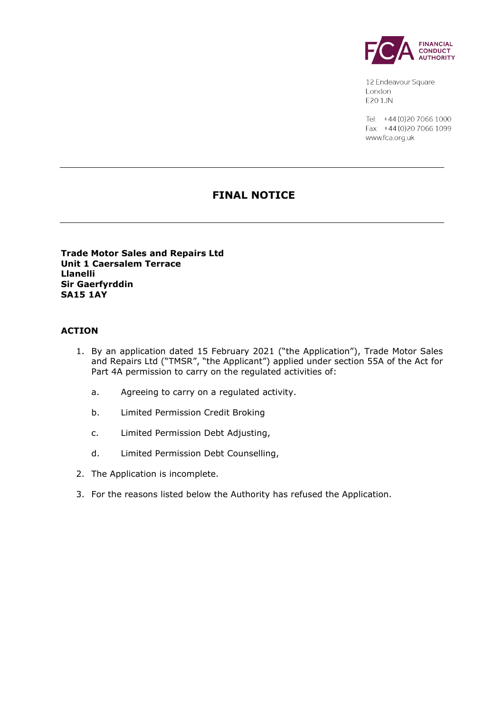

12 Endeavour Square London E201JN

Tel: +44 (0) 20 7066 1000 Fax: +44 (0) 20 7066 1099 www.fca.org.uk

# **FINAL NOTICE**

**Trade Motor Sales and Repairs Ltd Unit 1 Caersalem Terrace Llanelli Sir Gaerfyrddin SA15 1AY**

#### **ACTION**

- 1. By an application dated 15 February 2021 ("the Application"), Trade Motor Sales and Repairs Ltd ("TMSR", "the Applicant") applied under section 55A of the Act for Part 4A permission to carry on the regulated activities of:
	- a. Agreeing to carry on a regulated activity.
	- b. Limited Permission Credit Broking
	- c. Limited Permission Debt Adjusting,
	- d. Limited Permission Debt Counselling,
- 2. The Application is incomplete.
- 3. For the reasons listed below the Authority has refused the Application.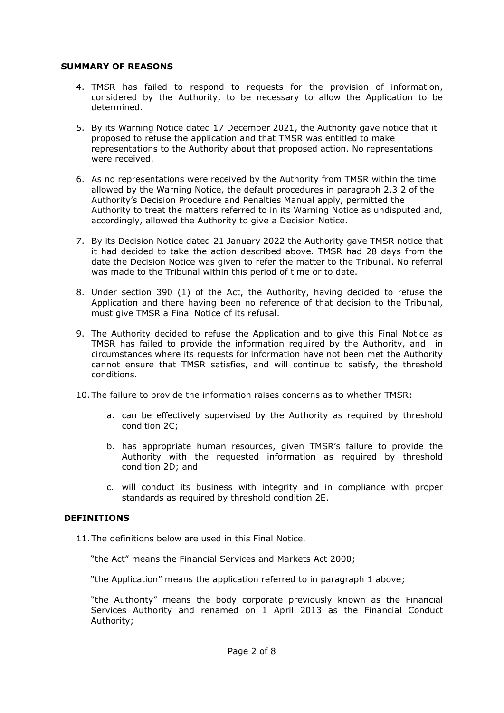#### **SUMMARY OF REASONS**

- 4. TMSR has failed to respond to requests for the provision of information, considered by the Authority, to be necessary to allow the Application to be determined.
- 5. By its Warning Notice dated 17 December 2021, the Authority gave notice that it proposed to refuse the application and that TMSR was entitled to make representations to the Authority about that proposed action. No representations were received.
- 6. As no representations were received by the Authority from TMSR within the time allowed by the Warning Notice, the default procedures in paragraph 2.3.2 of the Authority's Decision Procedure and Penalties Manual apply, permitted the Authority to treat the matters referred to in its Warning Notice as undisputed and, accordingly, allowed the Authority to give a Decision Notice.
- 7. By its Decision Notice dated 21 January 2022 the Authority gave TMSR notice that it had decided to take the action described above. TMSR had 28 days from the date the Decision Notice was given to refer the matter to the Tribunal. No referral was made to the Tribunal within this period of time or to date.
- 8. Under section 390 (1) of the Act, the Authority, having decided to refuse the Application and there having been no reference of that decision to the Tribunal, must give TMSR a Final Notice of its refusal.
- 9. The Authority decided to refuse the Application and to give this Final Notice as TMSR has failed to provide the information required by the Authority, and in circumstances where its requests for information have not been met the Authority cannot ensure that TMSR satisfies, and will continue to satisfy, the threshold conditions.
- 10. The failure to provide the information raises concerns as to whether TMSR:
	- a. can be effectively supervised by the Authority as required by threshold condition 2C;
	- b. has appropriate human resources, given TMSR's failure to provide the Authority with the requested information as required by threshold condition 2D; and
	- c. will conduct its business with integrity and in compliance with proper standards as required by threshold condition 2E.

#### **DEFINITIONS**

11. The definitions below are used in this Final Notice.

"the Act" means the Financial Services and Markets Act 2000;

"the Application" means the application referred to in paragraph 1 above;

"the Authority" means the body corporate previously known as the Financial Services Authority and renamed on 1 April 2013 as the Financial Conduct Authority;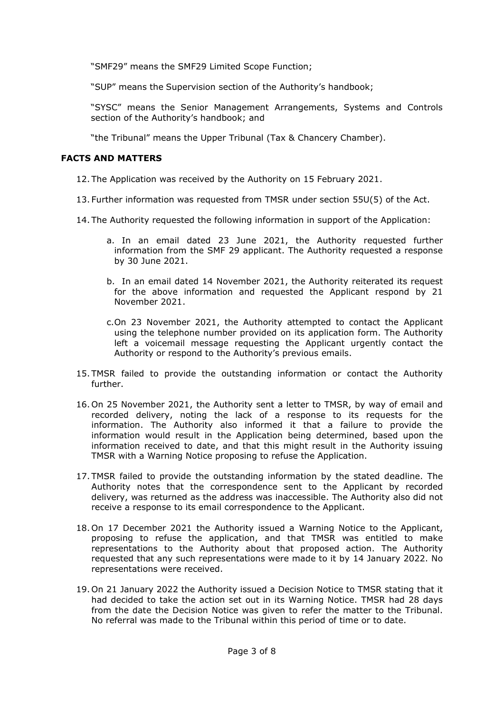"SMF29" means the SMF29 Limited Scope Function;

"SUP" means the Supervision section of the Authority's handbook;

"SYSC" means the Senior Management Arrangements, Systems and Controls section of the Authority's handbook; and

"the Tribunal" means the Upper Tribunal (Tax & Chancery Chamber).

### **FACTS AND MATTERS**

- 12. The Application was received by the Authority on 15 February 2021.
- 13. Further information was requested from TMSR under section 55U(5) of the Act.
- 14. The Authority requested the following information in support of the Application:
	- a. In an email dated 23 June 2021, the Authority requested further information from the SMF 29 applicant. The Authority requested a response by 30 June 2021.
	- b. In an email dated 14 November 2021, the Authority reiterated its request for the above information and requested the Applicant respond by 21 November 2021.
	- c.On 23 November 2021, the Authority attempted to contact the Applicant using the telephone number provided on its application form. The Authority left a voicemail message requesting the Applicant urgently contact the Authority or respond to the Authority's previous emails.
- 15. TMSR failed to provide the outstanding information or contact the Authority further.
- 16. On 25 November 2021, the Authority sent a letter to TMSR, by way of email and recorded delivery, noting the lack of a response to its requests for the information. The Authority also informed it that a failure to provide the information would result in the Application being determined, based upon the information received to date, and that this might result in the Authority issuing TMSR with a Warning Notice proposing to refuse the Application.
- 17. TMSR failed to provide the outstanding information by the stated deadline. The Authority notes that the correspondence sent to the Applicant by recorded delivery, was returned as the address was inaccessible. The Authority also did not receive a response to its email correspondence to the Applicant.
- 18. On 17 December 2021 the Authority issued a Warning Notice to the Applicant, proposing to refuse the application, and that TMSR was entitled to make representations to the Authority about that proposed action. The Authority requested that any such representations were made to it by 14 January 2022. No representations were received.
- 19. On 21 January 2022 the Authority issued a Decision Notice to TMSR stating that it had decided to take the action set out in its Warning Notice. TMSR had 28 days from the date the Decision Notice was given to refer the matter to the Tribunal. No referral was made to the Tribunal within this period of time or to date.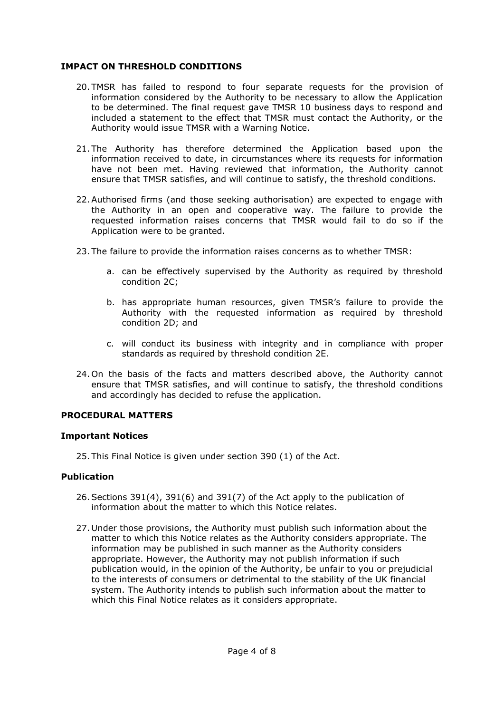### **IMPACT ON THRESHOLD CONDITIONS**

- 20. TMSR has failed to respond to four separate requests for the provision of information considered by the Authority to be necessary to allow the Application to be determined. The final request gave TMSR 10 business days to respond and included a statement to the effect that TMSR must contact the Authority, or the Authority would issue TMSR with a Warning Notice.
- 21. The Authority has therefore determined the Application based upon the information received to date, in circumstances where its requests for information have not been met. Having reviewed that information, the Authority cannot ensure that TMSR satisfies, and will continue to satisfy, the threshold conditions.
- 22.Authorised firms (and those seeking authorisation) are expected to engage with the Authority in an open and cooperative way. The failure to provide the requested information raises concerns that TMSR would fail to do so if the Application were to be granted.
- 23. The failure to provide the information raises concerns as to whether TMSR:
	- a. can be effectively supervised by the Authority as required by threshold condition 2C;
	- b. has appropriate human resources, given TMSR's failure to provide the Authority with the requested information as required by threshold condition 2D; and
	- c. will conduct its business with integrity and in compliance with proper standards as required by threshold condition 2E.
- 24. On the basis of the facts and matters described above, the Authority cannot ensure that TMSR satisfies, and will continue to satisfy, the threshold conditions and accordingly has decided to refuse the application.

#### **PROCEDURAL MATTERS**

#### **Important Notices**

25. This Final Notice is given under section 390 (1) of the Act.

### **Publication**

- 26.Sections 391(4), 391(6) and 391(7) of the Act apply to the publication of information about the matter to which this Notice relates.
- 27. Under those provisions, the Authority must publish such information about the matter to which this Notice relates as the Authority considers appropriate. The information may be published in such manner as the Authority considers appropriate. However, the Authority may not publish information if such publication would, in the opinion of the Authority, be unfair to you or prejudicial to the interests of consumers or detrimental to the stability of the UK financial system. The Authority intends to publish such information about the matter to which this Final Notice relates as it considers appropriate.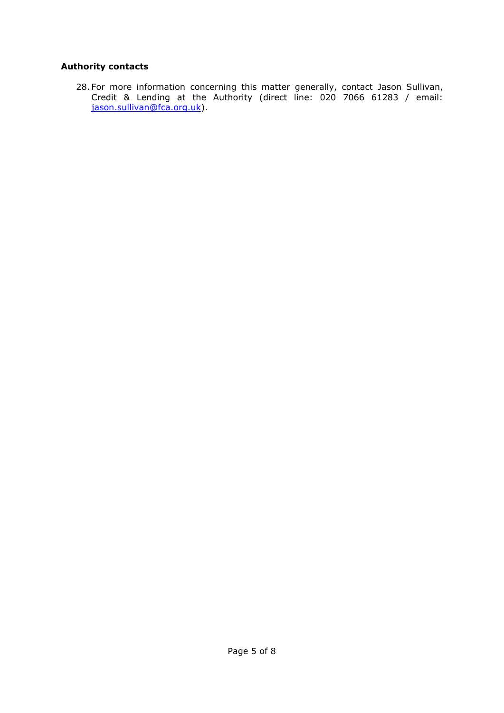## **Authority contacts**

28. For more information concerning this matter generally, contact Jason Sullivan, Credit & Lending at the Authority (direct line: 020 7066 61283 / email: [jason.sullivan@fca.org.uk\)](mailto:jason.sullivan@fca.org.uk).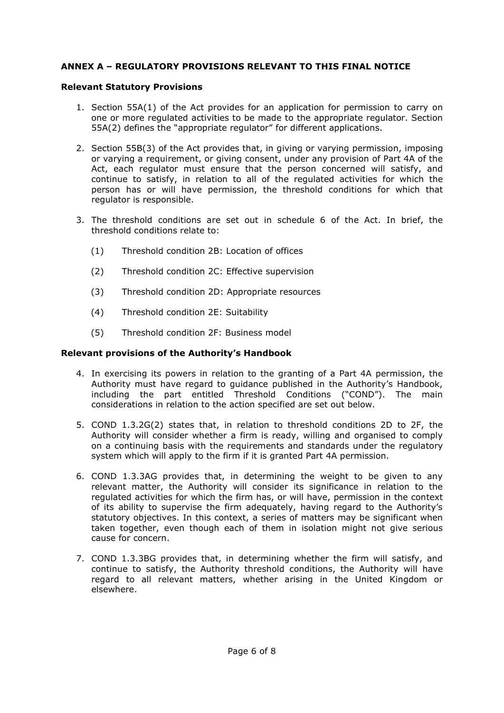### **ANNEX A – REGULATORY PROVISIONS RELEVANT TO THIS FINAL NOTICE**

#### **Relevant Statutory Provisions**

- 1. Section 55A(1) of the Act provides for an application for permission to carry on one or more regulated activities to be made to the appropriate regulator. Section 55A(2) defines the "appropriate regulator" for different applications.
- 2. Section 55B(3) of the Act provides that, in giving or varying permission, imposing or varying a requirement, or giving consent, under any provision of Part 4A of the Act, each regulator must ensure that the person concerned will satisfy, and continue to satisfy, in relation to all of the regulated activities for which the person has or will have permission, the threshold conditions for which that regulator is responsible.
- 3. The threshold conditions are set out in schedule 6 of the Act. In brief, the threshold conditions relate to:
	- (1) Threshold condition 2B: Location of offices
	- (2) Threshold condition 2C: Effective supervision
	- (3) Threshold condition 2D: Appropriate resources
	- (4) Threshold condition 2E: Suitability
	- (5) Threshold condition 2F: Business model

### **Relevant provisions of the Authority's Handbook**

- 4. In exercising its powers in relation to the granting of a Part 4A permission, the Authority must have regard to guidance published in the Authority's Handbook, including the part entitled Threshold Conditions ("COND"). The main considerations in relation to the action specified are set out below.
- 5. COND 1.3.2G(2) states that, in relation to threshold conditions 2D to 2F, the Authority will consider whether a firm is ready, willing and organised to comply on a continuing basis with the requirements and standards under the regulatory system which will apply to the firm if it is granted Part 4A permission.
- 6. COND 1.3.3AG provides that, in determining the weight to be given to any relevant matter, the Authority will consider its significance in relation to the regulated activities for which the firm has, or will have, permission in the context of its ability to supervise the firm adequately, having regard to the Authority's statutory objectives. In this context, a series of matters may be significant when taken together, even though each of them in isolation might not give serious cause for concern.
- 7. COND 1.3.3BG provides that, in determining whether the firm will satisfy, and continue to satisfy, the Authority threshold conditions, the Authority will have regard to all relevant matters, whether arising in the United Kingdom or elsewhere.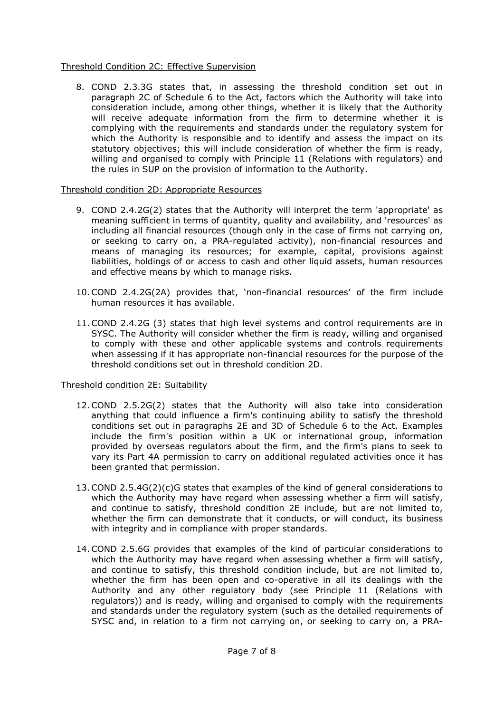### Threshold Condition 2C: Effective Supervision

8. COND 2.3.3G states that, in assessing the threshold condition set out in paragraph 2C of Schedule 6 to the Act, factors which the Authority will take into consideration include, among other things, whether it is likely that the Authority will receive adequate information from the firm to determine whether it is complying with the requirements and standards under the regulatory system for which the Authority is responsible and to identify and assess the impact on its statutory objectives; this will include consideration of whether the firm is ready, willing and organised to comply with Principle 11 (Relations with regulators) and the rules in SUP on the provision of information to the Authority.

#### Threshold condition 2D: Appropriate Resources

- 9. COND 2.4.2G(2) states that the Authority will interpret the term 'appropriate' as meaning sufficient in terms of quantity, quality and availability, and 'resources' as including all financial resources (though only in the case of firms not carrying on, or seeking to carry on, a PRA-regulated activity), non-financial resources and means of managing its resources; for example, capital, provisions against liabilities, holdings of or access to cash and other liquid assets, human resources and effective means by which to manage risks.
- 10.COND 2.4.2G(2A) provides that, 'non-financial resources' of the firm include human resources it has available.
- 11.COND 2.4.2G (3) states that high level systems and control requirements are in SYSC. The Authority will consider whether the firm is ready, willing and organised to comply with these and other applicable systems and controls requirements when assessing if it has appropriate non-financial resources for the purpose of the threshold conditions set out in threshold condition 2D.

### Threshold condition 2E: Suitability

- 12.COND 2.5.2G(2) states that the Authority will also take into consideration anything that could influence a firm's continuing ability to satisfy the threshold conditions set out in paragraphs 2E and 3D of Schedule 6 to the Act. Examples include the firm's position within a UK or international group, information provided by overseas regulators about the firm, and the firm's plans to seek to vary its Part 4A permission to carry on additional regulated activities once it has been granted that permission.
- 13.COND 2.5.4G(2)(c)G states that examples of the kind of general considerations to which the Authority may have regard when assessing whether a firm will satisfy, and continue to satisfy, threshold condition 2E include, but are not limited to, whether the firm can demonstrate that it conducts, or will conduct, its business with integrity and in compliance with proper standards.
- 14.COND 2.5.6G provides that examples of the kind of particular considerations to which the Authority may have regard when assessing whether a firm will satisfy, and continue to satisfy, this threshold condition include, but are not limited to, whether the firm has been open and co-operative in all its dealings with the Authority and any other regulatory body (see Principle 11 (Relations with regulators)) and is ready, willing and organised to comply with the requirements and standards under the regulatory system (such as the detailed requirements of SYSC and, in relation to a firm not carrying on, or seeking to carry on, a PRA-